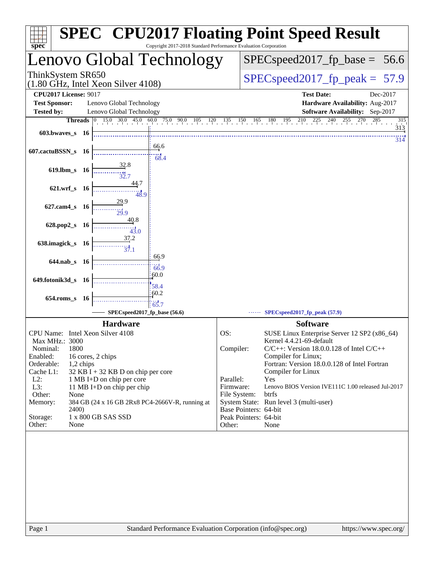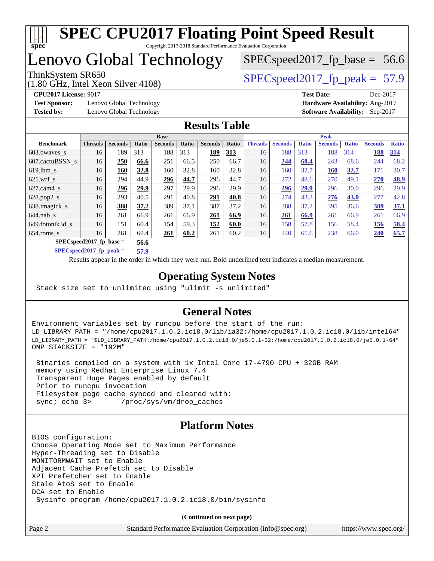

 $SPECspeed2017_fp\_base = 56.6$ 

## Lenovo Global Technology

(1.80 GHz, Intel Xeon Silver 4108)

ThinkSystem SR650  $SPEC speed2017$  fp\_peak = 57.9

**[Test Sponsor:](http://www.spec.org/auto/cpu2017/Docs/result-fields.html#TestSponsor)** Lenovo Global Technology **[Hardware Availability:](http://www.spec.org/auto/cpu2017/Docs/result-fields.html#HardwareAvailability)** Aug-2017

**[CPU2017 License:](http://www.spec.org/auto/cpu2017/Docs/result-fields.html#CPU2017License)** 9017 **[Test Date:](http://www.spec.org/auto/cpu2017/Docs/result-fields.html#TestDate)** Dec-2017 **[Tested by:](http://www.spec.org/auto/cpu2017/Docs/result-fields.html#Testedby)** Lenovo Global Technology **[Software Availability:](http://www.spec.org/auto/cpu2017/Docs/result-fields.html#SoftwareAvailability)** Sep-2017

### **[Results Table](http://www.spec.org/auto/cpu2017/Docs/result-fields.html#ResultsTable)**

|                            | <b>Base</b>    |                |       |                |       | <b>Peak</b>    |            |                |                |              |                |              |                |              |
|----------------------------|----------------|----------------|-------|----------------|-------|----------------|------------|----------------|----------------|--------------|----------------|--------------|----------------|--------------|
| <b>Benchmark</b>           | <b>Threads</b> | <b>Seconds</b> | Ratio | <b>Seconds</b> | Ratio | <b>Seconds</b> | Ratio      | <b>Threads</b> | <b>Seconds</b> | <b>Ratio</b> | <b>Seconds</b> | <b>Ratio</b> | <b>Seconds</b> | <b>Ratio</b> |
| 603.bwaves_s               | 16             | 189            | 313   | 188            | 313   | 189            | <u>313</u> | 16             | 188            | 313          | 188            | 314          | 188            | 314          |
| 607.cactuBSSN s            | 16             | 250            | 66.6  | 251            | 66.5  | 250            | 66.7       | 16             | 244            | 68.4         | 243            | 68.6         | 244            | 68.2         |
| $619.1$ bm s               | 16             | 160            | 32.8  | 160            | 32.8  | 160            | 32.8       | 16             | 160            | 32.7         | <b>160</b>     | 32.7         | 171            | 30.7         |
| $621.wrf$ <sub>s</sub>     | 16             | 294            | 44.9  | 296            | 44.7  | 296            | 44.7       | 16             | 272            | 48.6         | 270            | 49.1         | 270            | 48.9         |
| $627$ .cam $4$ s           | 16             | 296            | 29.9  | 297            | 29.9  | 296            | 29.9       | 16             | 296            | 29.9         | 296            | 30.0         | 296            | 29.9         |
| $628.pop2_s$               | 16             | 293            | 40.5  | 291            | 40.8  | 291            | 40.8       | 16             | 274            | 43.3         | 276            | 43.0         | 277            | 42.8         |
| 638.imagick_s              | 16             | 388            | 37.2  | 389            | 37.1  | 387            | 37.2       | 16             | 388            | 37.2         | 395            | 36.6         | 389            | 37.1         |
| $644$ .nab s               | 16             | 261            | 66.9  | 261            | 66.9  | 261            | 66.9       | 16             | 261            | 66.9         | 261            | 66.9         | 261            | 66.9         |
| 649.fotonik3d s            | 16             | 151            | 60.4  | 154            | 59.3  | 152            | 60.0       | 16             | 158            | 57.8         | 156            | 58.4         | 156            | 58.4         |
| $654$ .roms s              | 16             | 261            | 60.4  | 261            | 60.2  | 261            | 60.2       | 16             | 240            | 65.6         | 238            | 66.0         | 240            | 65.7         |
| $SPEC speed2017$ fp base = |                |                | 56.6  |                |       |                |            |                |                |              |                |              |                |              |

**[SPECspeed2017\\_fp\\_peak =](http://www.spec.org/auto/cpu2017/Docs/result-fields.html#SPECspeed2017fppeak) 57.9**

Results appear in the [order in which they were run.](http://www.spec.org/auto/cpu2017/Docs/result-fields.html#RunOrder) Bold underlined text [indicates a median measurement](http://www.spec.org/auto/cpu2017/Docs/result-fields.html#Median).

### **[Operating System Notes](http://www.spec.org/auto/cpu2017/Docs/result-fields.html#OperatingSystemNotes)**

Stack size set to unlimited using "ulimit -s unlimited"

### **[General Notes](http://www.spec.org/auto/cpu2017/Docs/result-fields.html#GeneralNotes)**

Environment variables set by runcpu before the start of the run: LD\_LIBRARY\_PATH = "/home/cpu2017.1.0.2.ic18.0/lib/ia32:/home/cpu2017.1.0.2.ic18.0/lib/intel64" LD\_LIBRARY\_PATH = "\$LD\_LIBRARY\_PATH:/home/cpu2017.1.0.2.ic18.0/je5.0.1-32:/home/cpu2017.1.0.2.ic18.0/je5.0.1-64" OMP\_STACKSIZE = "192M"

 Binaries compiled on a system with 1x Intel Core i7-4790 CPU + 32GB RAM memory using Redhat Enterprise Linux 7.4 Transparent Huge Pages enabled by default Prior to runcpu invocation Filesystem page cache synced and cleared with: sync; echo 3> /proc/sys/vm/drop\_caches

### **[Platform Notes](http://www.spec.org/auto/cpu2017/Docs/result-fields.html#PlatformNotes)**

BIOS configuration: Choose Operating Mode set to Maximum Performance Hyper-Threading set to Disable MONITORMWAIT set to Enable Adjacent Cache Prefetch set to Disable XPT Prefetcher set to Enable Stale AtoS set to Enable DCA set to Enable Sysinfo program /home/cpu2017.1.0.2.ic18.0/bin/sysinfo

**(Continued on next page)**

Page 2 Standard Performance Evaluation Corporation [\(info@spec.org\)](mailto:info@spec.org) <https://www.spec.org/>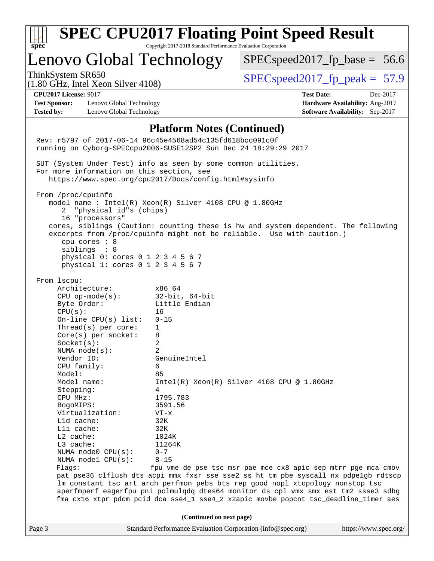|                                           |                                                                                                                                                                                                                                                                                                                                                                                                                                                                                                                                                                                                                                                                                                                                                                                                                                                                                 |                                                                                                                                                                                                                   | <b>SPEC CPU2017 Floating Point Speed Result</b>                                                                                                                                                                                                                                                                                                                                                                     |                                                                                |  |  |
|-------------------------------------------|---------------------------------------------------------------------------------------------------------------------------------------------------------------------------------------------------------------------------------------------------------------------------------------------------------------------------------------------------------------------------------------------------------------------------------------------------------------------------------------------------------------------------------------------------------------------------------------------------------------------------------------------------------------------------------------------------------------------------------------------------------------------------------------------------------------------------------------------------------------------------------|-------------------------------------------------------------------------------------------------------------------------------------------------------------------------------------------------------------------|---------------------------------------------------------------------------------------------------------------------------------------------------------------------------------------------------------------------------------------------------------------------------------------------------------------------------------------------------------------------------------------------------------------------|--------------------------------------------------------------------------------|--|--|
| spec <sup>®</sup>                         | Lenovo Global Technology                                                                                                                                                                                                                                                                                                                                                                                                                                                                                                                                                                                                                                                                                                                                                                                                                                                        | Copyright 2017-2018 Standard Performance Evaluation Corporation                                                                                                                                                   | $SPEC speed2017_fp\_base = 56.6$                                                                                                                                                                                                                                                                                                                                                                                    |                                                                                |  |  |
|                                           | ThinkSystem SR650<br>$(1.80$ GHz, Intel Xeon Silver 4108)                                                                                                                                                                                                                                                                                                                                                                                                                                                                                                                                                                                                                                                                                                                                                                                                                       |                                                                                                                                                                                                                   | $SPEC speed2017fp peak = 57.9$                                                                                                                                                                                                                                                                                                                                                                                      |                                                                                |  |  |
| <b>Test Sponsor:</b><br><b>Tested by:</b> | <b>CPU2017 License: 9017</b><br>Lenovo Global Technology<br>Lenovo Global Technology                                                                                                                                                                                                                                                                                                                                                                                                                                                                                                                                                                                                                                                                                                                                                                                            |                                                                                                                                                                                                                   | <b>Test Date:</b>                                                                                                                                                                                                                                                                                                                                                                                                   | Dec-2017<br>Hardware Availability: Aug-2017<br>Software Availability: Sep-2017 |  |  |
|                                           | Rev: r5797 of 2017-06-14 96c45e4568ad54c135fd618bcc091c0f<br>running on Cyborg-SPECcpu2006-SUSE12SP2 Sun Dec 24 18:29:29 2017<br>SUT (System Under Test) info as seen by some common utilities.<br>For more information on this section, see<br>https://www.spec.org/cpu2017/Docs/config.html#sysinfo<br>From /proc/cpuinfo<br>model name: $Intel(R)$ Xeon(R) Silver 4108 CPU @ 1.80GHz<br>"physical id"s (chips)<br>2<br>16 "processors"<br>cpu cores : 8<br>siblings : 8<br>physical 0: cores 0 1 2 3 4 5 6 7<br>physical 1: cores 0 1 2 3 4 5 6 7<br>From 1scpu:<br>Architecture:<br>$CPU$ op-mode( $s$ ):<br>Byte Order:<br>CPU(s):<br>On-line CPU(s) list:<br>Thread( $s$ ) per core:<br>Core(s) per socket:<br>Socket(s):<br>NUMA $node(s):$<br>Vendor ID:<br>CPU family:<br>Model:<br>Model name:<br>Stepping:<br>CPU MHz:<br>BogoMIPS:<br>Virtualization:<br>L1d cache: | <b>Platform Notes (Continued)</b><br>x86 64<br>$32$ -bit, $64$ -bit<br>Little Endian<br>16<br>$0 - 15$<br>1<br>8<br>2<br>2<br>GenuineIntel<br>6<br>85<br>$\overline{4}$<br>1795.783<br>3591.56<br>$VT - x$<br>32K | cores, siblings (Caution: counting these is hw and system dependent. The following<br>excerpts from /proc/cpuinfo might not be reliable. Use with caution.)<br>$Intel(R) Xeon(R) Silver 4108 CPU @ 1.80GHz$                                                                                                                                                                                                         |                                                                                |  |  |
|                                           | Lli cache:<br>$L2$ cache:<br>L3 cache:<br>NUMA node0 CPU(s):<br>NUMA nodel CPU(s):<br>Flagg:                                                                                                                                                                                                                                                                                                                                                                                                                                                                                                                                                                                                                                                                                                                                                                                    | 32K<br>1024K<br>11264K<br>$0 - 7$<br>$8 - 15$                                                                                                                                                                     | fpu vme de pse tsc msr pae mce cx8 apic sep mtrr pge mca cmov<br>pat pse36 clflush dts acpi mmx fxsr sse sse2 ss ht tm pbe syscall nx pdpelgb rdtscp<br>lm constant_tsc art arch_perfmon pebs bts rep_good nopl xtopology nonstop_tsc<br>aperfmperf eagerfpu pni pclmulqdq dtes64 monitor ds_cpl vmx smx est tm2 ssse3 sdbg<br>fma cx16 xtpr pdcm pcid dca sse4_1 sse4_2 x2apic movbe popcnt tsc_deadline_timer aes |                                                                                |  |  |
|                                           |                                                                                                                                                                                                                                                                                                                                                                                                                                                                                                                                                                                                                                                                                                                                                                                                                                                                                 | (Continued on next page)                                                                                                                                                                                          |                                                                                                                                                                                                                                                                                                                                                                                                                     |                                                                                |  |  |
| Page 3                                    |                                                                                                                                                                                                                                                                                                                                                                                                                                                                                                                                                                                                                                                                                                                                                                                                                                                                                 | Standard Performance Evaluation Corporation (info@spec.org)                                                                                                                                                       |                                                                                                                                                                                                                                                                                                                                                                                                                     | https://www.spec.org/                                                          |  |  |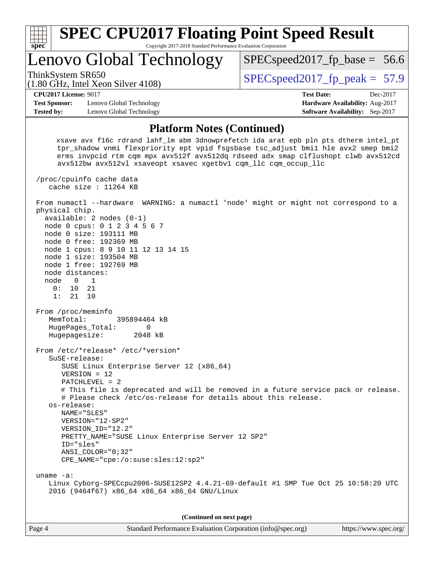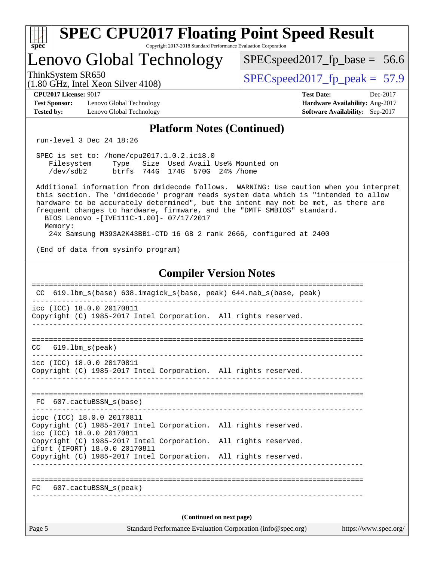| <b>SPEC CPU2017 Floating Point Speed Result</b>                                                                                                                                                                                                                                                                                                                                                                                                                            |                                                                                                     |  |  |  |  |  |
|----------------------------------------------------------------------------------------------------------------------------------------------------------------------------------------------------------------------------------------------------------------------------------------------------------------------------------------------------------------------------------------------------------------------------------------------------------------------------|-----------------------------------------------------------------------------------------------------|--|--|--|--|--|
| Copyright 2017-2018 Standard Performance Evaluation Corporation<br>$spec^*$<br>Lenovo Global Technology                                                                                                                                                                                                                                                                                                                                                                    | $SPEC speed2017_f p\_base = 56.6$                                                                   |  |  |  |  |  |
| ThinkSystem SR650<br>$(1.80 \text{ GHz}, \text{Intel Xeon Silver } 4108)$                                                                                                                                                                                                                                                                                                                                                                                                  | $SPEC speed2017_fp\_peak = 57.9$                                                                    |  |  |  |  |  |
| <b>CPU2017 License: 9017</b><br><b>Test Sponsor:</b><br>Lenovo Global Technology<br><b>Tested by:</b><br>Lenovo Global Technology                                                                                                                                                                                                                                                                                                                                          | <b>Test Date:</b><br>Dec-2017<br>Hardware Availability: Aug-2017<br>Software Availability: Sep-2017 |  |  |  |  |  |
| <b>Platform Notes (Continued)</b>                                                                                                                                                                                                                                                                                                                                                                                                                                          |                                                                                                     |  |  |  |  |  |
| run-level 3 Dec 24 18:26                                                                                                                                                                                                                                                                                                                                                                                                                                                   |                                                                                                     |  |  |  |  |  |
| SPEC is set to: /home/cpu2017.1.0.2.ic18.0<br>Type Size Used Avail Use% Mounted on<br>Filesystem<br>btrfs 744G 174G 570G 24% / home<br>/dev/sdb2                                                                                                                                                                                                                                                                                                                           |                                                                                                     |  |  |  |  |  |
| Additional information from dmidecode follows. WARNING: Use caution when you interpret<br>this section. The 'dmidecode' program reads system data which is "intended to allow<br>hardware to be accurately determined", but the intent may not be met, as there are<br>frequent changes to hardware, firmware, and the "DMTF SMBIOS" standard.<br>BIOS Lenovo -[IVE111C-1.00]- 07/17/2017<br>Memory:<br>24x Samsung M393A2K43BB1-CTD 16 GB 2 rank 2666, configured at 2400 |                                                                                                     |  |  |  |  |  |
| (End of data from sysinfo program)                                                                                                                                                                                                                                                                                                                                                                                                                                         |                                                                                                     |  |  |  |  |  |
| <b>Compiler Version Notes</b>                                                                                                                                                                                                                                                                                                                                                                                                                                              |                                                                                                     |  |  |  |  |  |
| CC 619.1bm_s(base) 638.imagick_s(base, peak) 644.nab_s(base, peak)                                                                                                                                                                                                                                                                                                                                                                                                         |                                                                                                     |  |  |  |  |  |
| icc (ICC) 18.0.0 20170811<br>Copyright (C) 1985-2017 Intel Corporation. All rights reserved.                                                                                                                                                                                                                                                                                                                                                                               |                                                                                                     |  |  |  |  |  |
| $619.1$ bm_s(peak)<br>CC                                                                                                                                                                                                                                                                                                                                                                                                                                                   |                                                                                                     |  |  |  |  |  |
| icc (ICC) 18.0.0 20170811<br>Copyright (C) 1985-2017 Intel Corporation. All rights reserved.                                                                                                                                                                                                                                                                                                                                                                               |                                                                                                     |  |  |  |  |  |
| FC 607.cactuBSSN_s(base)                                                                                                                                                                                                                                                                                                                                                                                                                                                   |                                                                                                     |  |  |  |  |  |
| icpc (ICC) 18.0.0 20170811<br>Copyright (C) 1985-2017 Intel Corporation. All rights reserved.<br>icc (ICC) 18.0.0 20170811                                                                                                                                                                                                                                                                                                                                                 |                                                                                                     |  |  |  |  |  |
| Copyright (C) 1985-2017 Intel Corporation. All rights reserved.<br>ifort (IFORT) 18.0.0 20170811                                                                                                                                                                                                                                                                                                                                                                           |                                                                                                     |  |  |  |  |  |
| Copyright (C) 1985-2017 Intel Corporation. All rights reserved.                                                                                                                                                                                                                                                                                                                                                                                                            |                                                                                                     |  |  |  |  |  |
| 607.cactuBSSN s(peak)<br>FC.                                                                                                                                                                                                                                                                                                                                                                                                                                               |                                                                                                     |  |  |  |  |  |
|                                                                                                                                                                                                                                                                                                                                                                                                                                                                            |                                                                                                     |  |  |  |  |  |
| (Continued on next page)<br>Page 5<br>Standard Performance Evaluation Corporation (info@spec.org)                                                                                                                                                                                                                                                                                                                                                                          | https://www.spec.org/                                                                               |  |  |  |  |  |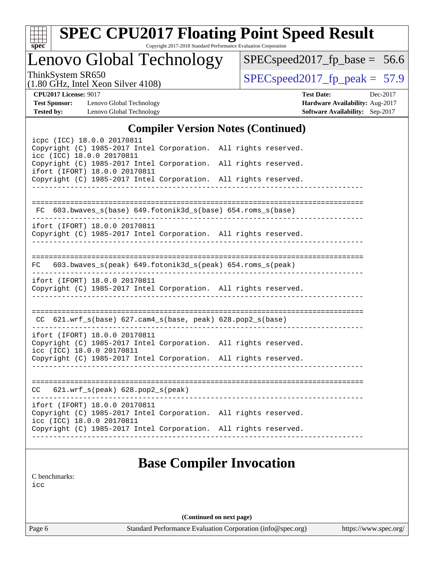| v.<br>t.<br>c |  |  |  |  |  |  |
|---------------|--|--|--|--|--|--|

# **[SPEC CPU2017 Floating Point Speed Result](http://www.spec.org/auto/cpu2017/Docs/result-fields.html#SPECCPU2017FloatingPointSpeedResult)**

Copyright 2017-2018 Standard Performance Evaluation Corporation

Lenovo Global Technology

[SPECspeed2017\\_fp\\_base =](http://www.spec.org/auto/cpu2017/Docs/result-fields.html#SPECspeed2017fpbase) 56.6

(1.80 GHz, Intel Xeon Silver 4108)

ThinkSystem SR650<br>(1.80 GHz, Intel Year Silver 4108) [SPECspeed2017\\_fp\\_peak =](http://www.spec.org/auto/cpu2017/Docs/result-fields.html#SPECspeed2017fppeak) 57.9

**[Test Sponsor:](http://www.spec.org/auto/cpu2017/Docs/result-fields.html#TestSponsor)** Lenovo Global Technology **[Hardware Availability:](http://www.spec.org/auto/cpu2017/Docs/result-fields.html#HardwareAvailability)** Aug-2017 **[Tested by:](http://www.spec.org/auto/cpu2017/Docs/result-fields.html#Testedby)** Lenovo Global Technology **[Software Availability:](http://www.spec.org/auto/cpu2017/Docs/result-fields.html#SoftwareAvailability)** Sep-2017

**[CPU2017 License:](http://www.spec.org/auto/cpu2017/Docs/result-fields.html#CPU2017License)** 9017 **[Test Date:](http://www.spec.org/auto/cpu2017/Docs/result-fields.html#TestDate)** Dec-2017

### **[Compiler Version Notes \(Continued\)](http://www.spec.org/auto/cpu2017/Docs/result-fields.html#CompilerVersionNotes)**

| icpc (ICC) 18.0.0 20170811<br>Copyright (C) 1985-2017 Intel Corporation. All rights reserved.<br>icc (ICC) 18.0.0 20170811<br>Copyright (C) 1985-2017 Intel Corporation. All rights reserved.<br>ifort (IFORT) 18.0.0 20170811<br>Copyright (C) 1985-2017 Intel Corporation. All rights reserved. |  |  |  |  |  |  |
|---------------------------------------------------------------------------------------------------------------------------------------------------------------------------------------------------------------------------------------------------------------------------------------------------|--|--|--|--|--|--|
| FC 603.bwaves_s(base) 649.fotonik3d_s(base) 654.roms_s(base)                                                                                                                                                                                                                                      |  |  |  |  |  |  |
| ifort (IFORT) 18.0.0 20170811<br>Copyright (C) 1985-2017 Intel Corporation. All rights reserved.                                                                                                                                                                                                  |  |  |  |  |  |  |
| 603.bwaves_s(peak) 649.fotonik3d_s(peak) 654.roms_s(peak)<br>FC                                                                                                                                                                                                                                   |  |  |  |  |  |  |
| ifort (IFORT) 18.0.0 20170811<br>Copyright (C) 1985-2017 Intel Corporation. All rights reserved.                                                                                                                                                                                                  |  |  |  |  |  |  |
| $CC$ 621.wrf_s(base) 627.cam4_s(base, peak) 628.pop2_s(base)                                                                                                                                                                                                                                      |  |  |  |  |  |  |
| ifort (IFORT) 18.0.0 20170811<br>Copyright (C) 1985-2017 Intel Corporation. All rights reserved.<br>icc (ICC) 18.0.0 20170811<br>Copyright (C) 1985-2017 Intel Corporation. All rights reserved.                                                                                                  |  |  |  |  |  |  |
| $CC$ 621.wrf_s(peak) 628.pop2_s(peak)                                                                                                                                                                                                                                                             |  |  |  |  |  |  |
| ifort (IFORT) 18.0.0 20170811<br>Copyright (C) 1985-2017 Intel Corporation. All rights reserved.<br>icc (ICC) 18.0.0 20170811<br>Copyright (C) 1985-2017 Intel Corporation. All rights reserved.                                                                                                  |  |  |  |  |  |  |
| <b>Base Compiler Invocation</b>                                                                                                                                                                                                                                                                   |  |  |  |  |  |  |

[C benchmarks](http://www.spec.org/auto/cpu2017/Docs/result-fields.html#Cbenchmarks):

[icc](http://www.spec.org/cpu2017/results/res2018q1/cpu2017-20171225-02114.flags.html#user_CCbase_intel_icc_18.0_66fc1ee009f7361af1fbd72ca7dcefbb700085f36577c54f309893dd4ec40d12360134090235512931783d35fd58c0460139e722d5067c5574d8eaf2b3e37e92)

**(Continued on next page)**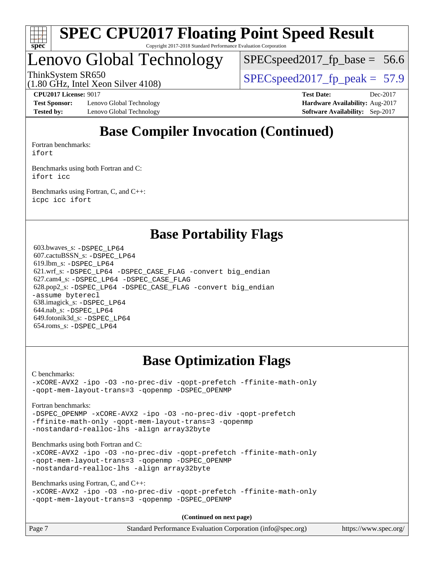

## Lenovo Global Technology

 $SPECspeed2017_fp\_base = 56.6$ 

ThinkSystem SR650<br>(1.80 GHz, Intel Year Silver 4108) [SPECspeed2017\\_fp\\_peak =](http://www.spec.org/auto/cpu2017/Docs/result-fields.html#SPECspeed2017fppeak) 57.9

(1.80 GHz, Intel Xeon Silver 4108)

**[Test Sponsor:](http://www.spec.org/auto/cpu2017/Docs/result-fields.html#TestSponsor)** Lenovo Global Technology **[Hardware Availability:](http://www.spec.org/auto/cpu2017/Docs/result-fields.html#HardwareAvailability)** Aug-2017 **[Tested by:](http://www.spec.org/auto/cpu2017/Docs/result-fields.html#Testedby)** Lenovo Global Technology **[Software Availability:](http://www.spec.org/auto/cpu2017/Docs/result-fields.html#SoftwareAvailability)** Sep-2017

**[CPU2017 License:](http://www.spec.org/auto/cpu2017/Docs/result-fields.html#CPU2017License)** 9017 **[Test Date:](http://www.spec.org/auto/cpu2017/Docs/result-fields.html#TestDate)** Dec-2017

## **[Base Compiler Invocation \(Continued\)](http://www.spec.org/auto/cpu2017/Docs/result-fields.html#BaseCompilerInvocation)**

[Fortran benchmarks](http://www.spec.org/auto/cpu2017/Docs/result-fields.html#Fortranbenchmarks): [ifort](http://www.spec.org/cpu2017/results/res2018q1/cpu2017-20171225-02114.flags.html#user_FCbase_intel_ifort_18.0_8111460550e3ca792625aed983ce982f94888b8b503583aa7ba2b8303487b4d8a21a13e7191a45c5fd58ff318f48f9492884d4413fa793fd88dd292cad7027ca)

[Benchmarks using both Fortran and C](http://www.spec.org/auto/cpu2017/Docs/result-fields.html#BenchmarksusingbothFortranandC): [ifort](http://www.spec.org/cpu2017/results/res2018q1/cpu2017-20171225-02114.flags.html#user_CC_FCbase_intel_ifort_18.0_8111460550e3ca792625aed983ce982f94888b8b503583aa7ba2b8303487b4d8a21a13e7191a45c5fd58ff318f48f9492884d4413fa793fd88dd292cad7027ca) [icc](http://www.spec.org/cpu2017/results/res2018q1/cpu2017-20171225-02114.flags.html#user_CC_FCbase_intel_icc_18.0_66fc1ee009f7361af1fbd72ca7dcefbb700085f36577c54f309893dd4ec40d12360134090235512931783d35fd58c0460139e722d5067c5574d8eaf2b3e37e92)

[Benchmarks using Fortran, C, and C++:](http://www.spec.org/auto/cpu2017/Docs/result-fields.html#BenchmarksusingFortranCandCXX) [icpc](http://www.spec.org/cpu2017/results/res2018q1/cpu2017-20171225-02114.flags.html#user_CC_CXX_FCbase_intel_icpc_18.0_c510b6838c7f56d33e37e94d029a35b4a7bccf4766a728ee175e80a419847e808290a9b78be685c44ab727ea267ec2f070ec5dc83b407c0218cded6866a35d07) [icc](http://www.spec.org/cpu2017/results/res2018q1/cpu2017-20171225-02114.flags.html#user_CC_CXX_FCbase_intel_icc_18.0_66fc1ee009f7361af1fbd72ca7dcefbb700085f36577c54f309893dd4ec40d12360134090235512931783d35fd58c0460139e722d5067c5574d8eaf2b3e37e92) [ifort](http://www.spec.org/cpu2017/results/res2018q1/cpu2017-20171225-02114.flags.html#user_CC_CXX_FCbase_intel_ifort_18.0_8111460550e3ca792625aed983ce982f94888b8b503583aa7ba2b8303487b4d8a21a13e7191a45c5fd58ff318f48f9492884d4413fa793fd88dd292cad7027ca)

## **[Base Portability Flags](http://www.spec.org/auto/cpu2017/Docs/result-fields.html#BasePortabilityFlags)**

 603.bwaves\_s: [-DSPEC\\_LP64](http://www.spec.org/cpu2017/results/res2018q1/cpu2017-20171225-02114.flags.html#suite_basePORTABILITY603_bwaves_s_DSPEC_LP64) 607.cactuBSSN\_s: [-DSPEC\\_LP64](http://www.spec.org/cpu2017/results/res2018q1/cpu2017-20171225-02114.flags.html#suite_basePORTABILITY607_cactuBSSN_s_DSPEC_LP64) 619.lbm\_s: [-DSPEC\\_LP64](http://www.spec.org/cpu2017/results/res2018q1/cpu2017-20171225-02114.flags.html#suite_basePORTABILITY619_lbm_s_DSPEC_LP64) 621.wrf\_s: [-DSPEC\\_LP64](http://www.spec.org/cpu2017/results/res2018q1/cpu2017-20171225-02114.flags.html#suite_basePORTABILITY621_wrf_s_DSPEC_LP64) [-DSPEC\\_CASE\\_FLAG](http://www.spec.org/cpu2017/results/res2018q1/cpu2017-20171225-02114.flags.html#b621.wrf_s_baseCPORTABILITY_DSPEC_CASE_FLAG) [-convert big\\_endian](http://www.spec.org/cpu2017/results/res2018q1/cpu2017-20171225-02114.flags.html#user_baseFPORTABILITY621_wrf_s_convert_big_endian_c3194028bc08c63ac5d04de18c48ce6d347e4e562e8892b8bdbdc0214820426deb8554edfa529a3fb25a586e65a3d812c835984020483e7e73212c4d31a38223) 627.cam4\_s: [-DSPEC\\_LP64](http://www.spec.org/cpu2017/results/res2018q1/cpu2017-20171225-02114.flags.html#suite_basePORTABILITY627_cam4_s_DSPEC_LP64) [-DSPEC\\_CASE\\_FLAG](http://www.spec.org/cpu2017/results/res2018q1/cpu2017-20171225-02114.flags.html#b627.cam4_s_baseCPORTABILITY_DSPEC_CASE_FLAG) 628.pop2\_s: [-DSPEC\\_LP64](http://www.spec.org/cpu2017/results/res2018q1/cpu2017-20171225-02114.flags.html#suite_basePORTABILITY628_pop2_s_DSPEC_LP64) [-DSPEC\\_CASE\\_FLAG](http://www.spec.org/cpu2017/results/res2018q1/cpu2017-20171225-02114.flags.html#b628.pop2_s_baseCPORTABILITY_DSPEC_CASE_FLAG) [-convert big\\_endian](http://www.spec.org/cpu2017/results/res2018q1/cpu2017-20171225-02114.flags.html#user_baseFPORTABILITY628_pop2_s_convert_big_endian_c3194028bc08c63ac5d04de18c48ce6d347e4e562e8892b8bdbdc0214820426deb8554edfa529a3fb25a586e65a3d812c835984020483e7e73212c4d31a38223) [-assume byterecl](http://www.spec.org/cpu2017/results/res2018q1/cpu2017-20171225-02114.flags.html#user_baseFPORTABILITY628_pop2_s_assume_byterecl_7e47d18b9513cf18525430bbf0f2177aa9bf368bc7a059c09b2c06a34b53bd3447c950d3f8d6c70e3faf3a05c8557d66a5798b567902e8849adc142926523472) 638.imagick\_s: [-DSPEC\\_LP64](http://www.spec.org/cpu2017/results/res2018q1/cpu2017-20171225-02114.flags.html#suite_basePORTABILITY638_imagick_s_DSPEC_LP64) 644.nab\_s: [-DSPEC\\_LP64](http://www.spec.org/cpu2017/results/res2018q1/cpu2017-20171225-02114.flags.html#suite_basePORTABILITY644_nab_s_DSPEC_LP64) 649.fotonik3d\_s: [-DSPEC\\_LP64](http://www.spec.org/cpu2017/results/res2018q1/cpu2017-20171225-02114.flags.html#suite_basePORTABILITY649_fotonik3d_s_DSPEC_LP64) 654.roms\_s: [-DSPEC\\_LP64](http://www.spec.org/cpu2017/results/res2018q1/cpu2017-20171225-02114.flags.html#suite_basePORTABILITY654_roms_s_DSPEC_LP64)

## **[Base Optimization Flags](http://www.spec.org/auto/cpu2017/Docs/result-fields.html#BaseOptimizationFlags)**

[C benchmarks](http://www.spec.org/auto/cpu2017/Docs/result-fields.html#Cbenchmarks):

[-xCORE-AVX2](http://www.spec.org/cpu2017/results/res2018q1/cpu2017-20171225-02114.flags.html#user_CCbase_f-xCORE-AVX2) [-ipo](http://www.spec.org/cpu2017/results/res2018q1/cpu2017-20171225-02114.flags.html#user_CCbase_f-ipo) [-O3](http://www.spec.org/cpu2017/results/res2018q1/cpu2017-20171225-02114.flags.html#user_CCbase_f-O3) [-no-prec-div](http://www.spec.org/cpu2017/results/res2018q1/cpu2017-20171225-02114.flags.html#user_CCbase_f-no-prec-div) [-qopt-prefetch](http://www.spec.org/cpu2017/results/res2018q1/cpu2017-20171225-02114.flags.html#user_CCbase_f-qopt-prefetch) [-ffinite-math-only](http://www.spec.org/cpu2017/results/res2018q1/cpu2017-20171225-02114.flags.html#user_CCbase_f_finite_math_only_cb91587bd2077682c4b38af759c288ed7c732db004271a9512da14a4f8007909a5f1427ecbf1a0fb78ff2a814402c6114ac565ca162485bbcae155b5e4258871) [-qopt-mem-layout-trans=3](http://www.spec.org/cpu2017/results/res2018q1/cpu2017-20171225-02114.flags.html#user_CCbase_f-qopt-mem-layout-trans_de80db37974c74b1f0e20d883f0b675c88c3b01e9d123adea9b28688d64333345fb62bc4a798493513fdb68f60282f9a726aa07f478b2f7113531aecce732043) [-qopenmp](http://www.spec.org/cpu2017/results/res2018q1/cpu2017-20171225-02114.flags.html#user_CCbase_qopenmp_16be0c44f24f464004c6784a7acb94aca937f053568ce72f94b139a11c7c168634a55f6653758ddd83bcf7b8463e8028bb0b48b77bcddc6b78d5d95bb1df2967) [-DSPEC\\_OPENMP](http://www.spec.org/cpu2017/results/res2018q1/cpu2017-20171225-02114.flags.html#suite_CCbase_DSPEC_OPENMP)

#### [Fortran benchmarks](http://www.spec.org/auto/cpu2017/Docs/result-fields.html#Fortranbenchmarks):

[-DSPEC\\_OPENMP](http://www.spec.org/cpu2017/results/res2018q1/cpu2017-20171225-02114.flags.html#suite_FCbase_DSPEC_OPENMP) [-xCORE-AVX2](http://www.spec.org/cpu2017/results/res2018q1/cpu2017-20171225-02114.flags.html#user_FCbase_f-xCORE-AVX2) [-ipo](http://www.spec.org/cpu2017/results/res2018q1/cpu2017-20171225-02114.flags.html#user_FCbase_f-ipo) [-O3](http://www.spec.org/cpu2017/results/res2018q1/cpu2017-20171225-02114.flags.html#user_FCbase_f-O3) [-no-prec-div](http://www.spec.org/cpu2017/results/res2018q1/cpu2017-20171225-02114.flags.html#user_FCbase_f-no-prec-div) [-qopt-prefetch](http://www.spec.org/cpu2017/results/res2018q1/cpu2017-20171225-02114.flags.html#user_FCbase_f-qopt-prefetch) [-ffinite-math-only](http://www.spec.org/cpu2017/results/res2018q1/cpu2017-20171225-02114.flags.html#user_FCbase_f_finite_math_only_cb91587bd2077682c4b38af759c288ed7c732db004271a9512da14a4f8007909a5f1427ecbf1a0fb78ff2a814402c6114ac565ca162485bbcae155b5e4258871) [-qopt-mem-layout-trans=3](http://www.spec.org/cpu2017/results/res2018q1/cpu2017-20171225-02114.flags.html#user_FCbase_f-qopt-mem-layout-trans_de80db37974c74b1f0e20d883f0b675c88c3b01e9d123adea9b28688d64333345fb62bc4a798493513fdb68f60282f9a726aa07f478b2f7113531aecce732043) [-qopenmp](http://www.spec.org/cpu2017/results/res2018q1/cpu2017-20171225-02114.flags.html#user_FCbase_qopenmp_16be0c44f24f464004c6784a7acb94aca937f053568ce72f94b139a11c7c168634a55f6653758ddd83bcf7b8463e8028bb0b48b77bcddc6b78d5d95bb1df2967) [-nostandard-realloc-lhs](http://www.spec.org/cpu2017/results/res2018q1/cpu2017-20171225-02114.flags.html#user_FCbase_f_2003_std_realloc_82b4557e90729c0f113870c07e44d33d6f5a304b4f63d4c15d2d0f1fab99f5daaed73bdb9275d9ae411527f28b936061aa8b9c8f2d63842963b95c9dd6426b8a) [-align array32byte](http://www.spec.org/cpu2017/results/res2018q1/cpu2017-20171225-02114.flags.html#user_FCbase_align_array32byte_b982fe038af199962ba9a80c053b8342c548c85b40b8e86eb3cc33dee0d7986a4af373ac2d51c3f7cf710a18d62fdce2948f201cd044323541f22fc0fffc51b6)

[Benchmarks using both Fortran and C](http://www.spec.org/auto/cpu2017/Docs/result-fields.html#BenchmarksusingbothFortranandC):

[-xCORE-AVX2](http://www.spec.org/cpu2017/results/res2018q1/cpu2017-20171225-02114.flags.html#user_CC_FCbase_f-xCORE-AVX2) [-ipo](http://www.spec.org/cpu2017/results/res2018q1/cpu2017-20171225-02114.flags.html#user_CC_FCbase_f-ipo) [-O3](http://www.spec.org/cpu2017/results/res2018q1/cpu2017-20171225-02114.flags.html#user_CC_FCbase_f-O3) [-no-prec-div](http://www.spec.org/cpu2017/results/res2018q1/cpu2017-20171225-02114.flags.html#user_CC_FCbase_f-no-prec-div) [-qopt-prefetch](http://www.spec.org/cpu2017/results/res2018q1/cpu2017-20171225-02114.flags.html#user_CC_FCbase_f-qopt-prefetch) [-ffinite-math-only](http://www.spec.org/cpu2017/results/res2018q1/cpu2017-20171225-02114.flags.html#user_CC_FCbase_f_finite_math_only_cb91587bd2077682c4b38af759c288ed7c732db004271a9512da14a4f8007909a5f1427ecbf1a0fb78ff2a814402c6114ac565ca162485bbcae155b5e4258871) [-qopt-mem-layout-trans=3](http://www.spec.org/cpu2017/results/res2018q1/cpu2017-20171225-02114.flags.html#user_CC_FCbase_f-qopt-mem-layout-trans_de80db37974c74b1f0e20d883f0b675c88c3b01e9d123adea9b28688d64333345fb62bc4a798493513fdb68f60282f9a726aa07f478b2f7113531aecce732043) [-qopenmp](http://www.spec.org/cpu2017/results/res2018q1/cpu2017-20171225-02114.flags.html#user_CC_FCbase_qopenmp_16be0c44f24f464004c6784a7acb94aca937f053568ce72f94b139a11c7c168634a55f6653758ddd83bcf7b8463e8028bb0b48b77bcddc6b78d5d95bb1df2967) [-DSPEC\\_OPENMP](http://www.spec.org/cpu2017/results/res2018q1/cpu2017-20171225-02114.flags.html#suite_CC_FCbase_DSPEC_OPENMP) [-nostandard-realloc-lhs](http://www.spec.org/cpu2017/results/res2018q1/cpu2017-20171225-02114.flags.html#user_CC_FCbase_f_2003_std_realloc_82b4557e90729c0f113870c07e44d33d6f5a304b4f63d4c15d2d0f1fab99f5daaed73bdb9275d9ae411527f28b936061aa8b9c8f2d63842963b95c9dd6426b8a) [-align array32byte](http://www.spec.org/cpu2017/results/res2018q1/cpu2017-20171225-02114.flags.html#user_CC_FCbase_align_array32byte_b982fe038af199962ba9a80c053b8342c548c85b40b8e86eb3cc33dee0d7986a4af373ac2d51c3f7cf710a18d62fdce2948f201cd044323541f22fc0fffc51b6)

[Benchmarks using Fortran, C, and C++:](http://www.spec.org/auto/cpu2017/Docs/result-fields.html#BenchmarksusingFortranCandCXX)

```
-xCORE-AVX2 -ipo -O3 -no-prec-div -qopt-prefetch -ffinite-math-only
-qopt-mem-layout-trans=3 -qopenmp -DSPEC_OPENMP
```
**(Continued on next page)**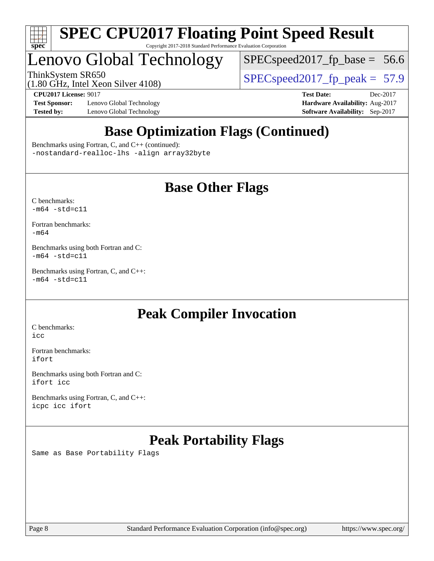

## Lenovo Global Technology

 $SPECspeed2017_fp\_base = 56.6$ 

(1.80 GHz, Intel Xeon Silver 4108)

ThinkSystem SR650<br>(1.80 GHz, Intel Year Silver 4108) [SPECspeed2017\\_fp\\_peak =](http://www.spec.org/auto/cpu2017/Docs/result-fields.html#SPECspeed2017fppeak) 57.9

**[Test Sponsor:](http://www.spec.org/auto/cpu2017/Docs/result-fields.html#TestSponsor)** Lenovo Global Technology **[Hardware Availability:](http://www.spec.org/auto/cpu2017/Docs/result-fields.html#HardwareAvailability)** Aug-2017 **[Tested by:](http://www.spec.org/auto/cpu2017/Docs/result-fields.html#Testedby)** Lenovo Global Technology **[Software Availability:](http://www.spec.org/auto/cpu2017/Docs/result-fields.html#SoftwareAvailability)** Sep-2017

**[CPU2017 License:](http://www.spec.org/auto/cpu2017/Docs/result-fields.html#CPU2017License)** 9017 **[Test Date:](http://www.spec.org/auto/cpu2017/Docs/result-fields.html#TestDate)** Dec-2017

## **[Base Optimization Flags \(Continued\)](http://www.spec.org/auto/cpu2017/Docs/result-fields.html#BaseOptimizationFlags)**

[Benchmarks using Fortran, C, and C++](http://www.spec.org/auto/cpu2017/Docs/result-fields.html#BenchmarksusingFortranCandCXX) (continued): [-nostandard-realloc-lhs](http://www.spec.org/cpu2017/results/res2018q1/cpu2017-20171225-02114.flags.html#user_CC_CXX_FCbase_f_2003_std_realloc_82b4557e90729c0f113870c07e44d33d6f5a304b4f63d4c15d2d0f1fab99f5daaed73bdb9275d9ae411527f28b936061aa8b9c8f2d63842963b95c9dd6426b8a) [-align array32byte](http://www.spec.org/cpu2017/results/res2018q1/cpu2017-20171225-02114.flags.html#user_CC_CXX_FCbase_align_array32byte_b982fe038af199962ba9a80c053b8342c548c85b40b8e86eb3cc33dee0d7986a4af373ac2d51c3f7cf710a18d62fdce2948f201cd044323541f22fc0fffc51b6)

## **[Base Other Flags](http://www.spec.org/auto/cpu2017/Docs/result-fields.html#BaseOtherFlags)**

[C benchmarks](http://www.spec.org/auto/cpu2017/Docs/result-fields.html#Cbenchmarks):  $-m64 - std= c11$  $-m64 - std= c11$ 

[Fortran benchmarks](http://www.spec.org/auto/cpu2017/Docs/result-fields.html#Fortranbenchmarks): [-m64](http://www.spec.org/cpu2017/results/res2018q1/cpu2017-20171225-02114.flags.html#user_FCbase_intel_intel64_18.0_af43caccfc8ded86e7699f2159af6efc7655f51387b94da716254467f3c01020a5059329e2569e4053f409e7c9202a7efc638f7a6d1ffb3f52dea4a3e31d82ab)

[Benchmarks using both Fortran and C](http://www.spec.org/auto/cpu2017/Docs/result-fields.html#BenchmarksusingbothFortranandC):  $-m64 - std = c11$  $-m64 - std = c11$ 

[Benchmarks using Fortran, C, and C++:](http://www.spec.org/auto/cpu2017/Docs/result-fields.html#BenchmarksusingFortranCandCXX)  $-m64 - std = c11$  $-m64 - std = c11$ 

## **[Peak Compiler Invocation](http://www.spec.org/auto/cpu2017/Docs/result-fields.html#PeakCompilerInvocation)**

[C benchmarks](http://www.spec.org/auto/cpu2017/Docs/result-fields.html#Cbenchmarks): [icc](http://www.spec.org/cpu2017/results/res2018q1/cpu2017-20171225-02114.flags.html#user_CCpeak_intel_icc_18.0_66fc1ee009f7361af1fbd72ca7dcefbb700085f36577c54f309893dd4ec40d12360134090235512931783d35fd58c0460139e722d5067c5574d8eaf2b3e37e92)

[Fortran benchmarks](http://www.spec.org/auto/cpu2017/Docs/result-fields.html#Fortranbenchmarks): [ifort](http://www.spec.org/cpu2017/results/res2018q1/cpu2017-20171225-02114.flags.html#user_FCpeak_intel_ifort_18.0_8111460550e3ca792625aed983ce982f94888b8b503583aa7ba2b8303487b4d8a21a13e7191a45c5fd58ff318f48f9492884d4413fa793fd88dd292cad7027ca)

[Benchmarks using both Fortran and C](http://www.spec.org/auto/cpu2017/Docs/result-fields.html#BenchmarksusingbothFortranandC): [ifort](http://www.spec.org/cpu2017/results/res2018q1/cpu2017-20171225-02114.flags.html#user_CC_FCpeak_intel_ifort_18.0_8111460550e3ca792625aed983ce982f94888b8b503583aa7ba2b8303487b4d8a21a13e7191a45c5fd58ff318f48f9492884d4413fa793fd88dd292cad7027ca) [icc](http://www.spec.org/cpu2017/results/res2018q1/cpu2017-20171225-02114.flags.html#user_CC_FCpeak_intel_icc_18.0_66fc1ee009f7361af1fbd72ca7dcefbb700085f36577c54f309893dd4ec40d12360134090235512931783d35fd58c0460139e722d5067c5574d8eaf2b3e37e92)

[Benchmarks using Fortran, C, and C++:](http://www.spec.org/auto/cpu2017/Docs/result-fields.html#BenchmarksusingFortranCandCXX) [icpc](http://www.spec.org/cpu2017/results/res2018q1/cpu2017-20171225-02114.flags.html#user_CC_CXX_FCpeak_intel_icpc_18.0_c510b6838c7f56d33e37e94d029a35b4a7bccf4766a728ee175e80a419847e808290a9b78be685c44ab727ea267ec2f070ec5dc83b407c0218cded6866a35d07) [icc](http://www.spec.org/cpu2017/results/res2018q1/cpu2017-20171225-02114.flags.html#user_CC_CXX_FCpeak_intel_icc_18.0_66fc1ee009f7361af1fbd72ca7dcefbb700085f36577c54f309893dd4ec40d12360134090235512931783d35fd58c0460139e722d5067c5574d8eaf2b3e37e92) [ifort](http://www.spec.org/cpu2017/results/res2018q1/cpu2017-20171225-02114.flags.html#user_CC_CXX_FCpeak_intel_ifort_18.0_8111460550e3ca792625aed983ce982f94888b8b503583aa7ba2b8303487b4d8a21a13e7191a45c5fd58ff318f48f9492884d4413fa793fd88dd292cad7027ca)

## **[Peak Portability Flags](http://www.spec.org/auto/cpu2017/Docs/result-fields.html#PeakPortabilityFlags)**

Same as Base Portability Flags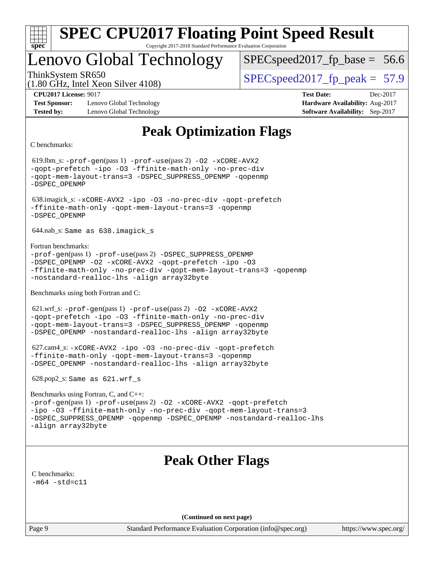

## Lenovo Global Technology

 $SPECspeed2017_fp\_base = 56.6$ 

(1.80 GHz, Intel Xeon Silver 4108)

ThinkSystem SR650  $SPEC speed2017$  fp\_peak = 57.9

**[Test Sponsor:](http://www.spec.org/auto/cpu2017/Docs/result-fields.html#TestSponsor)** Lenovo Global Technology **[Hardware Availability:](http://www.spec.org/auto/cpu2017/Docs/result-fields.html#HardwareAvailability)** Aug-2017 **[Tested by:](http://www.spec.org/auto/cpu2017/Docs/result-fields.html#Testedby)** Lenovo Global Technology **[Software Availability:](http://www.spec.org/auto/cpu2017/Docs/result-fields.html#SoftwareAvailability)** Sep-2017

**[CPU2017 License:](http://www.spec.org/auto/cpu2017/Docs/result-fields.html#CPU2017License)** 9017 **[Test Date:](http://www.spec.org/auto/cpu2017/Docs/result-fields.html#TestDate)** Dec-2017

## **[Peak Optimization Flags](http://www.spec.org/auto/cpu2017/Docs/result-fields.html#PeakOptimizationFlags)**

[C benchmarks](http://www.spec.org/auto/cpu2017/Docs/result-fields.html#Cbenchmarks):

 619.lbm\_s: [-prof-gen](http://www.spec.org/cpu2017/results/res2018q1/cpu2017-20171225-02114.flags.html#user_peakPASS1_CFLAGSPASS1_LDFLAGS619_lbm_s_prof_gen_5aa4926d6013ddb2a31985c654b3eb18169fc0c6952a63635c234f711e6e63dd76e94ad52365559451ec499a2cdb89e4dc58ba4c67ef54ca681ffbe1461d6b36)(pass 1) [-prof-use](http://www.spec.org/cpu2017/results/res2018q1/cpu2017-20171225-02114.flags.html#user_peakPASS2_CFLAGSPASS2_LDFLAGS619_lbm_s_prof_use_1a21ceae95f36a2b53c25747139a6c16ca95bd9def2a207b4f0849963b97e94f5260e30a0c64f4bb623698870e679ca08317ef8150905d41bd88c6f78df73f19)(pass 2) [-O2](http://www.spec.org/cpu2017/results/res2018q1/cpu2017-20171225-02114.flags.html#user_peakPASS1_COPTIMIZE619_lbm_s_f-O2) [-xCORE-AVX2](http://www.spec.org/cpu2017/results/res2018q1/cpu2017-20171225-02114.flags.html#user_peakPASS2_COPTIMIZE619_lbm_s_f-xCORE-AVX2) [-qopt-prefetch](http://www.spec.org/cpu2017/results/res2018q1/cpu2017-20171225-02114.flags.html#user_peakPASS1_COPTIMIZEPASS2_COPTIMIZE619_lbm_s_f-qopt-prefetch) [-ipo](http://www.spec.org/cpu2017/results/res2018q1/cpu2017-20171225-02114.flags.html#user_peakPASS2_COPTIMIZE619_lbm_s_f-ipo) [-O3](http://www.spec.org/cpu2017/results/res2018q1/cpu2017-20171225-02114.flags.html#user_peakPASS2_COPTIMIZE619_lbm_s_f-O3) [-ffinite-math-only](http://www.spec.org/cpu2017/results/res2018q1/cpu2017-20171225-02114.flags.html#user_peakPASS1_COPTIMIZEPASS2_COPTIMIZE619_lbm_s_f_finite_math_only_cb91587bd2077682c4b38af759c288ed7c732db004271a9512da14a4f8007909a5f1427ecbf1a0fb78ff2a814402c6114ac565ca162485bbcae155b5e4258871) [-no-prec-div](http://www.spec.org/cpu2017/results/res2018q1/cpu2017-20171225-02114.flags.html#user_peakPASS2_COPTIMIZE619_lbm_s_f-no-prec-div) [-qopt-mem-layout-trans=3](http://www.spec.org/cpu2017/results/res2018q1/cpu2017-20171225-02114.flags.html#user_peakPASS1_COPTIMIZEPASS2_COPTIMIZE619_lbm_s_f-qopt-mem-layout-trans_de80db37974c74b1f0e20d883f0b675c88c3b01e9d123adea9b28688d64333345fb62bc4a798493513fdb68f60282f9a726aa07f478b2f7113531aecce732043) [-DSPEC\\_SUPPRESS\\_OPENMP](http://www.spec.org/cpu2017/results/res2018q1/cpu2017-20171225-02114.flags.html#suite_peakPASS1_COPTIMIZE619_lbm_s_DSPEC_SUPPRESS_OPENMP) [-qopenmp](http://www.spec.org/cpu2017/results/res2018q1/cpu2017-20171225-02114.flags.html#user_peakPASS2_COPTIMIZE619_lbm_s_qopenmp_16be0c44f24f464004c6784a7acb94aca937f053568ce72f94b139a11c7c168634a55f6653758ddd83bcf7b8463e8028bb0b48b77bcddc6b78d5d95bb1df2967) [-DSPEC\\_OPENMP](http://www.spec.org/cpu2017/results/res2018q1/cpu2017-20171225-02114.flags.html#suite_peakPASS2_COPTIMIZE619_lbm_s_DSPEC_OPENMP) 638.imagick\_s: [-xCORE-AVX2](http://www.spec.org/cpu2017/results/res2018q1/cpu2017-20171225-02114.flags.html#user_peakCOPTIMIZE638_imagick_s_f-xCORE-AVX2) [-ipo](http://www.spec.org/cpu2017/results/res2018q1/cpu2017-20171225-02114.flags.html#user_peakCOPTIMIZE638_imagick_s_f-ipo) [-O3](http://www.spec.org/cpu2017/results/res2018q1/cpu2017-20171225-02114.flags.html#user_peakCOPTIMIZE638_imagick_s_f-O3) [-no-prec-div](http://www.spec.org/cpu2017/results/res2018q1/cpu2017-20171225-02114.flags.html#user_peakCOPTIMIZE638_imagick_s_f-no-prec-div) [-qopt-prefetch](http://www.spec.org/cpu2017/results/res2018q1/cpu2017-20171225-02114.flags.html#user_peakCOPTIMIZE638_imagick_s_f-qopt-prefetch) [-ffinite-math-only](http://www.spec.org/cpu2017/results/res2018q1/cpu2017-20171225-02114.flags.html#user_peakCOPTIMIZE638_imagick_s_f_finite_math_only_cb91587bd2077682c4b38af759c288ed7c732db004271a9512da14a4f8007909a5f1427ecbf1a0fb78ff2a814402c6114ac565ca162485bbcae155b5e4258871) [-qopt-mem-layout-trans=3](http://www.spec.org/cpu2017/results/res2018q1/cpu2017-20171225-02114.flags.html#user_peakCOPTIMIZE638_imagick_s_f-qopt-mem-layout-trans_de80db37974c74b1f0e20d883f0b675c88c3b01e9d123adea9b28688d64333345fb62bc4a798493513fdb68f60282f9a726aa07f478b2f7113531aecce732043) [-qopenmp](http://www.spec.org/cpu2017/results/res2018q1/cpu2017-20171225-02114.flags.html#user_peakCOPTIMIZE638_imagick_s_qopenmp_16be0c44f24f464004c6784a7acb94aca937f053568ce72f94b139a11c7c168634a55f6653758ddd83bcf7b8463e8028bb0b48b77bcddc6b78d5d95bb1df2967) [-DSPEC\\_OPENMP](http://www.spec.org/cpu2017/results/res2018q1/cpu2017-20171225-02114.flags.html#suite_peakCOPTIMIZE638_imagick_s_DSPEC_OPENMP) 644.nab\_s: Same as 638.imagick\_s [Fortran benchmarks](http://www.spec.org/auto/cpu2017/Docs/result-fields.html#Fortranbenchmarks): [-prof-gen](http://www.spec.org/cpu2017/results/res2018q1/cpu2017-20171225-02114.flags.html#user_FCpeak_prof_gen_5aa4926d6013ddb2a31985c654b3eb18169fc0c6952a63635c234f711e6e63dd76e94ad52365559451ec499a2cdb89e4dc58ba4c67ef54ca681ffbe1461d6b36)(pass 1) [-prof-use](http://www.spec.org/cpu2017/results/res2018q1/cpu2017-20171225-02114.flags.html#user_FCpeak_prof_use_1a21ceae95f36a2b53c25747139a6c16ca95bd9def2a207b4f0849963b97e94f5260e30a0c64f4bb623698870e679ca08317ef8150905d41bd88c6f78df73f19)(pass 2) [-DSPEC\\_SUPPRESS\\_OPENMP](http://www.spec.org/cpu2017/results/res2018q1/cpu2017-20171225-02114.flags.html#suite_FCpeak_DSPEC_SUPPRESS_OPENMP) [-DSPEC\\_OPENMP](http://www.spec.org/cpu2017/results/res2018q1/cpu2017-20171225-02114.flags.html#suite_FCpeak_DSPEC_OPENMP) [-O2](http://www.spec.org/cpu2017/results/res2018q1/cpu2017-20171225-02114.flags.html#user_FCpeak_f-O2) [-xCORE-AVX2](http://www.spec.org/cpu2017/results/res2018q1/cpu2017-20171225-02114.flags.html#user_FCpeak_f-xCORE-AVX2) [-qopt-prefetch](http://www.spec.org/cpu2017/results/res2018q1/cpu2017-20171225-02114.flags.html#user_FCpeak_f-qopt-prefetch) [-ipo](http://www.spec.org/cpu2017/results/res2018q1/cpu2017-20171225-02114.flags.html#user_FCpeak_f-ipo) [-O3](http://www.spec.org/cpu2017/results/res2018q1/cpu2017-20171225-02114.flags.html#user_FCpeak_f-O3) [-ffinite-math-only](http://www.spec.org/cpu2017/results/res2018q1/cpu2017-20171225-02114.flags.html#user_FCpeak_f_finite_math_only_cb91587bd2077682c4b38af759c288ed7c732db004271a9512da14a4f8007909a5f1427ecbf1a0fb78ff2a814402c6114ac565ca162485bbcae155b5e4258871) [-no-prec-div](http://www.spec.org/cpu2017/results/res2018q1/cpu2017-20171225-02114.flags.html#user_FCpeak_f-no-prec-div) [-qopt-mem-layout-trans=3](http://www.spec.org/cpu2017/results/res2018q1/cpu2017-20171225-02114.flags.html#user_FCpeak_f-qopt-mem-layout-trans_de80db37974c74b1f0e20d883f0b675c88c3b01e9d123adea9b28688d64333345fb62bc4a798493513fdb68f60282f9a726aa07f478b2f7113531aecce732043) [-qopenmp](http://www.spec.org/cpu2017/results/res2018q1/cpu2017-20171225-02114.flags.html#user_FCpeak_qopenmp_16be0c44f24f464004c6784a7acb94aca937f053568ce72f94b139a11c7c168634a55f6653758ddd83bcf7b8463e8028bb0b48b77bcddc6b78d5d95bb1df2967) [-nostandard-realloc-lhs](http://www.spec.org/cpu2017/results/res2018q1/cpu2017-20171225-02114.flags.html#user_FCpeak_f_2003_std_realloc_82b4557e90729c0f113870c07e44d33d6f5a304b4f63d4c15d2d0f1fab99f5daaed73bdb9275d9ae411527f28b936061aa8b9c8f2d63842963b95c9dd6426b8a) [-align array32byte](http://www.spec.org/cpu2017/results/res2018q1/cpu2017-20171225-02114.flags.html#user_FCpeak_align_array32byte_b982fe038af199962ba9a80c053b8342c548c85b40b8e86eb3cc33dee0d7986a4af373ac2d51c3f7cf710a18d62fdce2948f201cd044323541f22fc0fffc51b6) [Benchmarks using both Fortran and C](http://www.spec.org/auto/cpu2017/Docs/result-fields.html#BenchmarksusingbothFortranandC): 621.wrf\_s: [-prof-gen](http://www.spec.org/cpu2017/results/res2018q1/cpu2017-20171225-02114.flags.html#user_peakPASS1_CFLAGSPASS1_FFLAGSPASS1_LDFLAGS621_wrf_s_prof_gen_5aa4926d6013ddb2a31985c654b3eb18169fc0c6952a63635c234f711e6e63dd76e94ad52365559451ec499a2cdb89e4dc58ba4c67ef54ca681ffbe1461d6b36)(pass 1) [-prof-use](http://www.spec.org/cpu2017/results/res2018q1/cpu2017-20171225-02114.flags.html#user_peakPASS2_CFLAGSPASS2_FFLAGSPASS2_LDFLAGS621_wrf_s_prof_use_1a21ceae95f36a2b53c25747139a6c16ca95bd9def2a207b4f0849963b97e94f5260e30a0c64f4bb623698870e679ca08317ef8150905d41bd88c6f78df73f19)(pass 2) [-O2](http://www.spec.org/cpu2017/results/res2018q1/cpu2017-20171225-02114.flags.html#user_peakPASS1_COPTIMIZEPASS1_FOPTIMIZE621_wrf_s_f-O2) [-xCORE-AVX2](http://www.spec.org/cpu2017/results/res2018q1/cpu2017-20171225-02114.flags.html#user_peakPASS2_COPTIMIZEPASS2_FOPTIMIZE621_wrf_s_f-xCORE-AVX2) [-qopt-prefetch](http://www.spec.org/cpu2017/results/res2018q1/cpu2017-20171225-02114.flags.html#user_peakPASS1_COPTIMIZEPASS1_FOPTIMIZEPASS2_COPTIMIZEPASS2_FOPTIMIZE621_wrf_s_f-qopt-prefetch) [-ipo](http://www.spec.org/cpu2017/results/res2018q1/cpu2017-20171225-02114.flags.html#user_peakPASS2_COPTIMIZEPASS2_FOPTIMIZE621_wrf_s_f-ipo) [-O3](http://www.spec.org/cpu2017/results/res2018q1/cpu2017-20171225-02114.flags.html#user_peakPASS2_COPTIMIZEPASS2_FOPTIMIZE621_wrf_s_f-O3) [-ffinite-math-only](http://www.spec.org/cpu2017/results/res2018q1/cpu2017-20171225-02114.flags.html#user_peakPASS1_COPTIMIZEPASS1_FOPTIMIZEPASS2_COPTIMIZEPASS2_FOPTIMIZE621_wrf_s_f_finite_math_only_cb91587bd2077682c4b38af759c288ed7c732db004271a9512da14a4f8007909a5f1427ecbf1a0fb78ff2a814402c6114ac565ca162485bbcae155b5e4258871) [-no-prec-div](http://www.spec.org/cpu2017/results/res2018q1/cpu2017-20171225-02114.flags.html#user_peakPASS2_COPTIMIZEPASS2_FOPTIMIZE621_wrf_s_f-no-prec-div) [-qopt-mem-layout-trans=3](http://www.spec.org/cpu2017/results/res2018q1/cpu2017-20171225-02114.flags.html#user_peakPASS1_COPTIMIZEPASS1_FOPTIMIZEPASS2_COPTIMIZEPASS2_FOPTIMIZE621_wrf_s_f-qopt-mem-layout-trans_de80db37974c74b1f0e20d883f0b675c88c3b01e9d123adea9b28688d64333345fb62bc4a798493513fdb68f60282f9a726aa07f478b2f7113531aecce732043) [-DSPEC\\_SUPPRESS\\_OPENMP](http://www.spec.org/cpu2017/results/res2018q1/cpu2017-20171225-02114.flags.html#suite_peakPASS1_COPTIMIZEPASS1_FOPTIMIZE621_wrf_s_DSPEC_SUPPRESS_OPENMP) [-qopenmp](http://www.spec.org/cpu2017/results/res2018q1/cpu2017-20171225-02114.flags.html#user_peakPASS2_COPTIMIZEPASS2_FOPTIMIZE621_wrf_s_qopenmp_16be0c44f24f464004c6784a7acb94aca937f053568ce72f94b139a11c7c168634a55f6653758ddd83bcf7b8463e8028bb0b48b77bcddc6b78d5d95bb1df2967) [-DSPEC\\_OPENMP](http://www.spec.org/cpu2017/results/res2018q1/cpu2017-20171225-02114.flags.html#suite_peakPASS2_COPTIMIZEPASS2_FOPTIMIZE621_wrf_s_DSPEC_OPENMP) [-nostandard-realloc-lhs](http://www.spec.org/cpu2017/results/res2018q1/cpu2017-20171225-02114.flags.html#user_peakEXTRA_FOPTIMIZE621_wrf_s_f_2003_std_realloc_82b4557e90729c0f113870c07e44d33d6f5a304b4f63d4c15d2d0f1fab99f5daaed73bdb9275d9ae411527f28b936061aa8b9c8f2d63842963b95c9dd6426b8a) [-align array32byte](http://www.spec.org/cpu2017/results/res2018q1/cpu2017-20171225-02114.flags.html#user_peakEXTRA_FOPTIMIZE621_wrf_s_align_array32byte_b982fe038af199962ba9a80c053b8342c548c85b40b8e86eb3cc33dee0d7986a4af373ac2d51c3f7cf710a18d62fdce2948f201cd044323541f22fc0fffc51b6) 627.cam4\_s: [-xCORE-AVX2](http://www.spec.org/cpu2017/results/res2018q1/cpu2017-20171225-02114.flags.html#user_peakCOPTIMIZEFOPTIMIZE627_cam4_s_f-xCORE-AVX2) [-ipo](http://www.spec.org/cpu2017/results/res2018q1/cpu2017-20171225-02114.flags.html#user_peakCOPTIMIZEFOPTIMIZE627_cam4_s_f-ipo) [-O3](http://www.spec.org/cpu2017/results/res2018q1/cpu2017-20171225-02114.flags.html#user_peakCOPTIMIZEFOPTIMIZE627_cam4_s_f-O3) [-no-prec-div](http://www.spec.org/cpu2017/results/res2018q1/cpu2017-20171225-02114.flags.html#user_peakCOPTIMIZEFOPTIMIZE627_cam4_s_f-no-prec-div) [-qopt-prefetch](http://www.spec.org/cpu2017/results/res2018q1/cpu2017-20171225-02114.flags.html#user_peakCOPTIMIZEFOPTIMIZE627_cam4_s_f-qopt-prefetch) [-ffinite-math-only](http://www.spec.org/cpu2017/results/res2018q1/cpu2017-20171225-02114.flags.html#user_peakCOPTIMIZEFOPTIMIZE627_cam4_s_f_finite_math_only_cb91587bd2077682c4b38af759c288ed7c732db004271a9512da14a4f8007909a5f1427ecbf1a0fb78ff2a814402c6114ac565ca162485bbcae155b5e4258871) [-qopt-mem-layout-trans=3](http://www.spec.org/cpu2017/results/res2018q1/cpu2017-20171225-02114.flags.html#user_peakCOPTIMIZEFOPTIMIZE627_cam4_s_f-qopt-mem-layout-trans_de80db37974c74b1f0e20d883f0b675c88c3b01e9d123adea9b28688d64333345fb62bc4a798493513fdb68f60282f9a726aa07f478b2f7113531aecce732043) [-qopenmp](http://www.spec.org/cpu2017/results/res2018q1/cpu2017-20171225-02114.flags.html#user_peakCOPTIMIZEFOPTIMIZE627_cam4_s_qopenmp_16be0c44f24f464004c6784a7acb94aca937f053568ce72f94b139a11c7c168634a55f6653758ddd83bcf7b8463e8028bb0b48b77bcddc6b78d5d95bb1df2967) [-DSPEC\\_OPENMP](http://www.spec.org/cpu2017/results/res2018q1/cpu2017-20171225-02114.flags.html#suite_peakCOPTIMIZEFOPTIMIZE627_cam4_s_DSPEC_OPENMP) [-nostandard-realloc-lhs](http://www.spec.org/cpu2017/results/res2018q1/cpu2017-20171225-02114.flags.html#user_peakEXTRA_FOPTIMIZE627_cam4_s_f_2003_std_realloc_82b4557e90729c0f113870c07e44d33d6f5a304b4f63d4c15d2d0f1fab99f5daaed73bdb9275d9ae411527f28b936061aa8b9c8f2d63842963b95c9dd6426b8a) [-align array32byte](http://www.spec.org/cpu2017/results/res2018q1/cpu2017-20171225-02114.flags.html#user_peakEXTRA_FOPTIMIZE627_cam4_s_align_array32byte_b982fe038af199962ba9a80c053b8342c548c85b40b8e86eb3cc33dee0d7986a4af373ac2d51c3f7cf710a18d62fdce2948f201cd044323541f22fc0fffc51b6) 628.pop2\_s: Same as 621.wrf\_s [Benchmarks using Fortran, C, and C++](http://www.spec.org/auto/cpu2017/Docs/result-fields.html#BenchmarksusingFortranCandCXX): [-prof-gen](http://www.spec.org/cpu2017/results/res2018q1/cpu2017-20171225-02114.flags.html#user_CC_CXX_FCpeak_prof_gen_5aa4926d6013ddb2a31985c654b3eb18169fc0c6952a63635c234f711e6e63dd76e94ad52365559451ec499a2cdb89e4dc58ba4c67ef54ca681ffbe1461d6b36)(pass 1) [-prof-use](http://www.spec.org/cpu2017/results/res2018q1/cpu2017-20171225-02114.flags.html#user_CC_CXX_FCpeak_prof_use_1a21ceae95f36a2b53c25747139a6c16ca95bd9def2a207b4f0849963b97e94f5260e30a0c64f4bb623698870e679ca08317ef8150905d41bd88c6f78df73f19)(pass 2) [-O2](http://www.spec.org/cpu2017/results/res2018q1/cpu2017-20171225-02114.flags.html#user_CC_CXX_FCpeak_f-O2) [-xCORE-AVX2](http://www.spec.org/cpu2017/results/res2018q1/cpu2017-20171225-02114.flags.html#user_CC_CXX_FCpeak_f-xCORE-AVX2) [-qopt-prefetch](http://www.spec.org/cpu2017/results/res2018q1/cpu2017-20171225-02114.flags.html#user_CC_CXX_FCpeak_f-qopt-prefetch) [-ipo](http://www.spec.org/cpu2017/results/res2018q1/cpu2017-20171225-02114.flags.html#user_CC_CXX_FCpeak_f-ipo) [-O3](http://www.spec.org/cpu2017/results/res2018q1/cpu2017-20171225-02114.flags.html#user_CC_CXX_FCpeak_f-O3) [-ffinite-math-only](http://www.spec.org/cpu2017/results/res2018q1/cpu2017-20171225-02114.flags.html#user_CC_CXX_FCpeak_f_finite_math_only_cb91587bd2077682c4b38af759c288ed7c732db004271a9512da14a4f8007909a5f1427ecbf1a0fb78ff2a814402c6114ac565ca162485bbcae155b5e4258871) [-no-prec-div](http://www.spec.org/cpu2017/results/res2018q1/cpu2017-20171225-02114.flags.html#user_CC_CXX_FCpeak_f-no-prec-div) [-qopt-mem-layout-trans=3](http://www.spec.org/cpu2017/results/res2018q1/cpu2017-20171225-02114.flags.html#user_CC_CXX_FCpeak_f-qopt-mem-layout-trans_de80db37974c74b1f0e20d883f0b675c88c3b01e9d123adea9b28688d64333345fb62bc4a798493513fdb68f60282f9a726aa07f478b2f7113531aecce732043) [-DSPEC\\_SUPPRESS\\_OPENMP](http://www.spec.org/cpu2017/results/res2018q1/cpu2017-20171225-02114.flags.html#suite_CC_CXX_FCpeak_DSPEC_SUPPRESS_OPENMP) [-qopenmp](http://www.spec.org/cpu2017/results/res2018q1/cpu2017-20171225-02114.flags.html#user_CC_CXX_FCpeak_qopenmp_16be0c44f24f464004c6784a7acb94aca937f053568ce72f94b139a11c7c168634a55f6653758ddd83bcf7b8463e8028bb0b48b77bcddc6b78d5d95bb1df2967) [-DSPEC\\_OPENMP](http://www.spec.org/cpu2017/results/res2018q1/cpu2017-20171225-02114.flags.html#suite_CC_CXX_FCpeak_DSPEC_OPENMP) [-nostandard-realloc-lhs](http://www.spec.org/cpu2017/results/res2018q1/cpu2017-20171225-02114.flags.html#user_CC_CXX_FCpeak_f_2003_std_realloc_82b4557e90729c0f113870c07e44d33d6f5a304b4f63d4c15d2d0f1fab99f5daaed73bdb9275d9ae411527f28b936061aa8b9c8f2d63842963b95c9dd6426b8a) [-align array32byte](http://www.spec.org/cpu2017/results/res2018q1/cpu2017-20171225-02114.flags.html#user_CC_CXX_FCpeak_align_array32byte_b982fe038af199962ba9a80c053b8342c548c85b40b8e86eb3cc33dee0d7986a4af373ac2d51c3f7cf710a18d62fdce2948f201cd044323541f22fc0fffc51b6) **[Peak Other Flags](http://www.spec.org/auto/cpu2017/Docs/result-fields.html#PeakOtherFlags)** [C benchmarks](http://www.spec.org/auto/cpu2017/Docs/result-fields.html#Cbenchmarks):  $-m64 - std= c11$  $-m64 - std= c11$ **(Continued on next page)**

Page 9 Standard Performance Evaluation Corporation [\(info@spec.org\)](mailto:info@spec.org) <https://www.spec.org/>